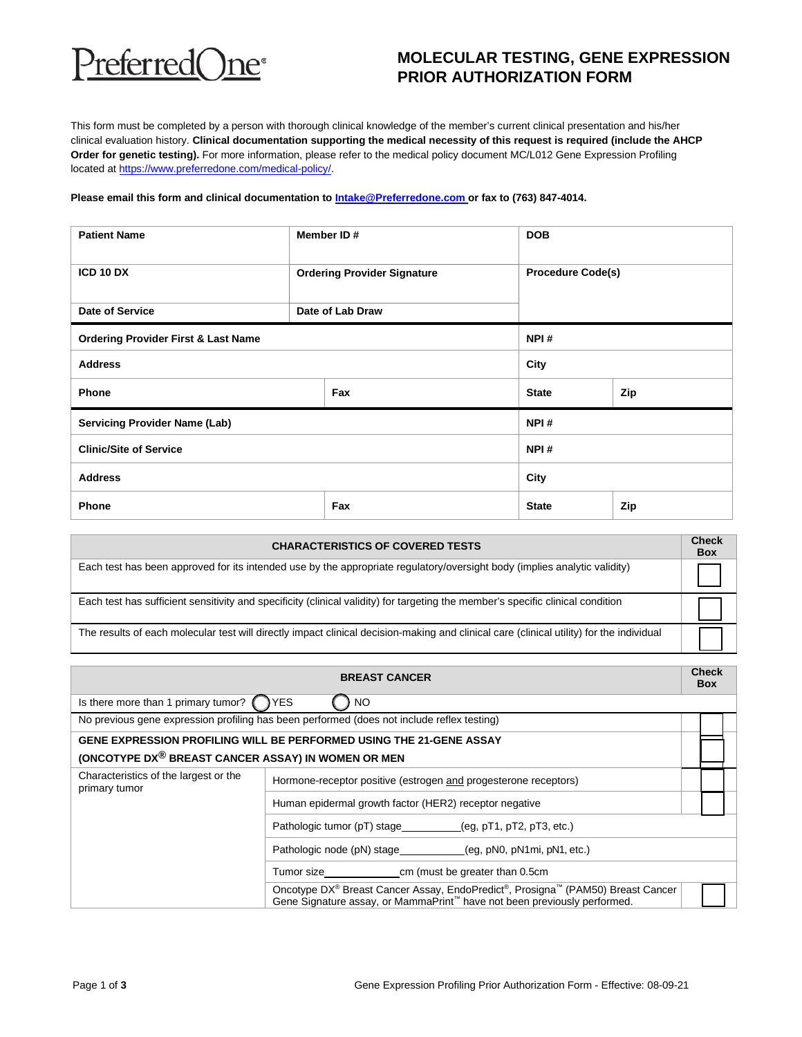# Preferred  $)$ ne $^{\circ}$

# **MOLECULAR TESTING, GENE EXPRESSION PRIOR AUTHORIZATION FORM**

This form must be completed by a person with thorough clinical knowledge of the member's current clinical presentation and his/her clinical evaluation history. **Clinical documentation supporting the medical necessity of this request is required (include the AHCP Order for genetic testing).** For more information, please refer to the medical policy document MC/L012 Gene Expression Profiling located at [https://www.preferredone.com/medical-policy/.](https://www.preferredone.com/medical-policy/)

#### **Please email this form and clinical documentation to [Intake@Preferredone.com o](mailto:Intake@Preferredone.com)r fax to (763) 847-4014.**

| <b>Patient Name</b>                            |  | Member ID#                         | <b>DOB</b>               |     |
|------------------------------------------------|--|------------------------------------|--------------------------|-----|
| <b>ICD 10 DX</b>                               |  | <b>Ordering Provider Signature</b> | <b>Procedure Code(s)</b> |     |
| <b>Date of Service</b>                         |  | Date of Lab Draw                   |                          |     |
| <b>Ordering Provider First &amp; Last Name</b> |  |                                    | NPI#                     |     |
| <b>Address</b>                                 |  | City                               |                          |     |
| <b>Phone</b>                                   |  | Fax                                | <b>State</b>             | Zip |
| <b>Servicing Provider Name (Lab)</b>           |  | NPI#                               |                          |     |
| <b>Clinic/Site of Service</b>                  |  | NPI#                               |                          |     |
| <b>Address</b>                                 |  | City                               |                          |     |
| <b>Phone</b>                                   |  | Fax                                | <b>State</b>             | Zip |

| <b>CHARACTERISTICS OF COVERED TESTS</b>                                                                                                  | <b>Check</b><br><b>Box</b> |
|------------------------------------------------------------------------------------------------------------------------------------------|----------------------------|
| Each test has been approved for its intended use by the appropriate regulatory/oversight body (implies analytic validity)                |                            |
| Each test has sufficient sensitivity and specificity (clinical validity) for targeting the member's specific clinical condition          |                            |
| The results of each molecular test will directly impact clinical decision-making and clinical care (clinical utility) for the individual |                            |

|                                                                            | <b>BREAST CANCER</b>                                                                                                                                                                 |  | <b>Check</b><br><b>Box</b> |
|----------------------------------------------------------------------------|--------------------------------------------------------------------------------------------------------------------------------------------------------------------------------------|--|----------------------------|
| Is there more than 1 primary tumor?                                        | <b>NO</b><br><b>YES</b>                                                                                                                                                              |  |                            |
|                                                                            | No previous gene expression profiling has been performed (does not include reflex testing)                                                                                           |  |                            |
| <b>GENE EXPRESSION PROFILING WILL BE PERFORMED USING THE 21-GENE ASSAY</b> |                                                                                                                                                                                      |  |                            |
| (ONCOTYPE DX <sup>®</sup> BREAST CANCER ASSAY) IN WOMEN OR MEN             |                                                                                                                                                                                      |  |                            |
| Characteristics of the largest or the<br>primary tumor                     | Hormone-receptor positive (estrogen and progesterone receptors)                                                                                                                      |  |                            |
|                                                                            | Human epidermal growth factor (HER2) receptor negative                                                                                                                               |  |                            |
|                                                                            | Pathologic tumor (pT) stage<br>(eq, pT1, pT2, pT3, etc.)                                                                                                                             |  |                            |
|                                                                            | Pathologic node (pN) stage<br>(eg, pN0, pN1mi, pN1, etc.)                                                                                                                            |  |                            |
|                                                                            | Tumor size cm (must be greater than 0.5cm                                                                                                                                            |  |                            |
|                                                                            | Oncotype DX <sup>®</sup> Breast Cancer Assay, EndoPredict <sup>®</sup> , Prosigna™ (PAM50) Breast Cancer<br>Gene Signature assay, or MammaPrint™ have not been previously performed. |  |                            |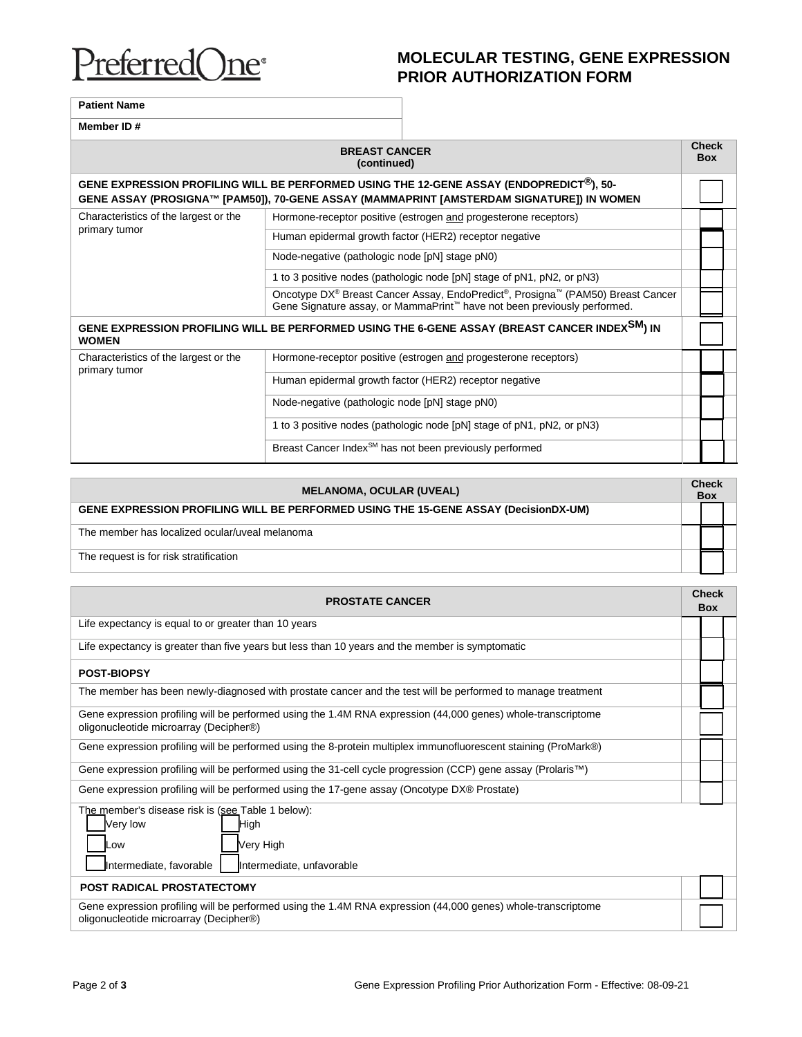PreferredOne®

# **MOLECULAR TESTING, GENE EXPRESSION PRIOR AUTHORIZATION FORM**

**Patient Name**

**Member ID #**

| <b>BREAST CANCER</b><br>(continued)                                                                                                                                                               |                                                                                                                                                                                      |  | <b>Check</b><br><b>Box</b> |
|---------------------------------------------------------------------------------------------------------------------------------------------------------------------------------------------------|--------------------------------------------------------------------------------------------------------------------------------------------------------------------------------------|--|----------------------------|
| GENE EXPRESSION PROFILING WILL BE PERFORMED USING THE 12-GENE ASSAY (ENDOPREDICT <sup>®</sup> ), 50-<br>GENE ASSAY (PROSIGNA™ [PAM50]), 70-GENE ASSAY (MAMMAPRINT [AMSTERDAM SIGNATURE]) IN WOMEN |                                                                                                                                                                                      |  |                            |
| Characteristics of the largest or the<br>primary tumor                                                                                                                                            | Hormone-receptor positive (estrogen and progesterone receptors)                                                                                                                      |  |                            |
|                                                                                                                                                                                                   | Human epidermal growth factor (HER2) receptor negative                                                                                                                               |  |                            |
|                                                                                                                                                                                                   | Node-negative (pathologic node [pN] stage pN0)                                                                                                                                       |  |                            |
|                                                                                                                                                                                                   | 1 to 3 positive nodes (pathologic node [pN] stage of pN1, pN2, or pN3)                                                                                                               |  |                            |
|                                                                                                                                                                                                   | Oncotype DX <sup>®</sup> Breast Cancer Assay, EndoPredict <sup>®</sup> , Prosigna™ (PAM50) Breast Cancer<br>Gene Signature assay, or MammaPrint™ have not been previously performed. |  |                            |
| GENE EXPRESSION PROFILING WILL BE PERFORMED USING THE 6-GENE ASSAY (BREAST CANCER INDEX <sup>SM</sup> ) IN<br><b>WOMEN</b>                                                                        |                                                                                                                                                                                      |  |                            |
| Characteristics of the largest or the<br>primary tumor                                                                                                                                            | Hormone-receptor positive (estrogen and progesterone receptors)                                                                                                                      |  |                            |
|                                                                                                                                                                                                   | Human epidermal growth factor (HER2) receptor negative                                                                                                                               |  |                            |
|                                                                                                                                                                                                   | Node-negative (pathologic node [pN] stage pN0)                                                                                                                                       |  |                            |
|                                                                                                                                                                                                   | 1 to 3 positive nodes (pathologic node [pN] stage of pN1, pN2, or pN3)                                                                                                               |  |                            |
|                                                                                                                                                                                                   | Breast Cancer Index <sup>SM</sup> has not been previously performed                                                                                                                  |  |                            |

| <b>MELANOMA, OCULAR (UVEAL)</b>                                                     |  | <b>Check</b><br>Box |  |
|-------------------------------------------------------------------------------------|--|---------------------|--|
| GENE EXPRESSION PROFILING WILL BE PERFORMED USING THE 15-GENE ASSAY (DecisionDX-UM) |  |                     |  |
| The member has localized ocular/uveal melanoma                                      |  |                     |  |
| The request is for risk stratification                                              |  |                     |  |

| <b>PROSTATE CANCER</b>                                                                                                                                 | <b>Check</b><br><b>Box</b> |
|--------------------------------------------------------------------------------------------------------------------------------------------------------|----------------------------|
| Life expectancy is equal to or greater than 10 years                                                                                                   |                            |
| Life expectancy is greater than five years but less than 10 years and the member is symptomatic                                                        |                            |
| <b>POST-BIOPSY</b>                                                                                                                                     |                            |
| The member has been newly-diagnosed with prostate cancer and the test will be performed to manage treatment                                            |                            |
| Gene expression profiling will be performed using the 1.4M RNA expression (44,000 genes) whole-transcriptome<br>oligonucleotide microarray (Decipher®) |                            |
| Gene expression profiling will be performed using the 8-protein multiplex immunofluorescent staining (ProMark®)                                        |                            |
| Gene expression profiling will be performed using the 31-cell cycle progression (CCP) gene assay (Prolaris <sup>TM</sup> )                             |                            |
| Gene expression profiling will be performed using the 17-gene assay (Oncotype DX® Prostate)                                                            |                            |
| The member's disease risk is (see Table 1 below):<br>Very low<br>High<br>Very High<br>.ow<br>Intermediate, favorable<br>Intermediate, unfavorable      |                            |
| <b>POST RADICAL PROSTATECTOMY</b>                                                                                                                      |                            |
| Gene expression profiling will be performed using the 1.4M RNA expression (44,000 genes) whole-transcriptome<br>oligonucleotide microarray (Decipher®) |                            |